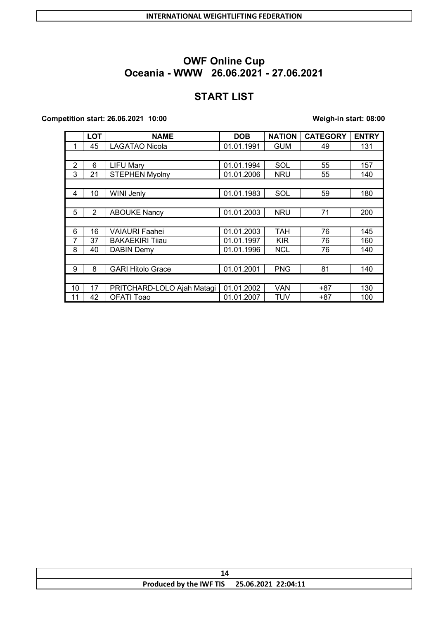# **START LIST**

#### **Competition start: 26.06.2021 10:00 Weigh-in start: 08:00**

|    | <b>LOT</b>     | <b>NAME</b>                | <b>DOB</b> | <b>NATION</b> | <b>CATEGORY</b> | <b>ENTRY</b> |
|----|----------------|----------------------------|------------|---------------|-----------------|--------------|
|    | 45             | <b>LAGATAO Nicola</b>      | 01.01.1991 | <b>GUM</b>    | 49              | 131          |
|    |                |                            |            |               |                 |              |
| 2  | 6              | <b>LIFU Mary</b>           | 01.01.1994 | SOL           | 55              | 157          |
| 3  | 21             | <b>STEPHEN Myolny</b>      | 01.01.2006 | <b>NRU</b>    | 55              | 140          |
|    |                |                            |            |               |                 |              |
| 4  | 10             | WINI Jenly                 | 01.01.1983 | SOL           | 59              | 180          |
|    |                |                            |            |               |                 |              |
| 5  | $\overline{2}$ | <b>ABOUKE Nancy</b>        | 01.01.2003 | <b>NRU</b>    | 71              | 200          |
|    |                |                            |            |               |                 |              |
| 6  | 16             | <b>VAIAURI Faahei</b>      | 01.01.2003 | <b>TAH</b>    | 76              | 145          |
| 7  | 37             | <b>BAKAEKIRI Tijau</b>     | 01.01.1997 | <b>KIR</b>    | 76              | 160          |
| 8  | 40             | <b>DABIN Demy</b>          | 01.01.1996 | <b>NCL</b>    | 76              | 140          |
|    |                |                            |            |               |                 |              |
| 9  | 8              | <b>GARI Hitolo Grace</b>   | 01.01.2001 | <b>PNG</b>    | 81              | 140          |
|    |                |                            |            |               |                 |              |
| 10 | 17             | PRITCHARD-LOLO Ajah Matagi | 01.01.2002 | VAN           | $+87$           | 130          |
| 11 | 42             | OFATI Toao                 | 01.01.2007 | TUV           | $+87$           | 100          |

|  | Produced by the IWF TIS 25.06.2021 22:04:11 |  |  |  |
|--|---------------------------------------------|--|--|--|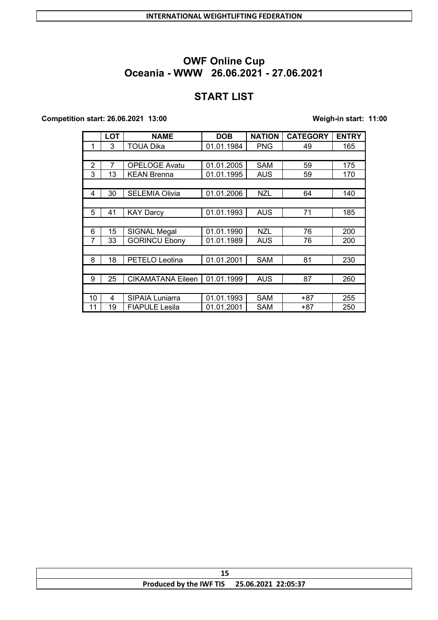# **START LIST**

#### **Competition start: 26.06.2021 13:00 Weigh-in start: 11:00**

|                | <b>LOT</b> | <b>NAME</b>              | <b>DOB</b> | <b>NATION</b> | <b>CATEGORY</b> | <b>ENTRY</b> |
|----------------|------------|--------------------------|------------|---------------|-----------------|--------------|
| 1              | 3          | <b>TOUA Dika</b>         | 01.01.1984 | <b>PNG</b>    | 49              | 165          |
|                |            |                          |            |               |                 |              |
| $\overline{2}$ | 7          | <b>OPELOGE Avatu</b>     | 01.01.2005 | <b>SAM</b>    | 59              | 175          |
| 3              | 13         | <b>KEAN Brenna</b>       | 01.01.1995 | AUS           | 59              | 170          |
|                |            |                          |            |               |                 |              |
| 4              | 30         | <b>SELEMIA Olivia</b>    | 01.01.2006 | <b>NZL</b>    | 64              | 140          |
|                |            |                          |            |               |                 |              |
| 5              | 41         | <b>KAY Darcy</b>         | 01.01.1993 | <b>AUS</b>    | 71              | 185          |
|                |            |                          |            |               |                 |              |
| 6              | 15         | <b>SIGNAL Megal</b>      | 01.01.1990 | <b>NZL</b>    | 76              | 200          |
| 7              | 33         | <b>GORINCU Ebony</b>     | 01.01.1989 | AUS           | 76              | 200          |
|                |            |                          |            |               |                 |              |
| 8              | 18         | <b>PETELO Leotina</b>    | 01.01.2001 | <b>SAM</b>    | 81              | 230          |
|                |            |                          |            |               |                 |              |
| 9              | 25         | <b>CIKAMATANA Eileen</b> | 01.01.1999 | AUS           | 87              | 260          |
|                |            |                          |            |               |                 |              |
| 10             | 4          | <b>SIPAIA Luniarra</b>   | 01.01.1993 | <b>SAM</b>    | +87             | 255          |
| 11             | 19         | <b>FIAPULE Lesila</b>    | 01.01.2001 | <b>SAM</b>    | $+87$           | 250          |

| Produced by the IWF TIS 25.06.2021 22:05:37 |
|---------------------------------------------|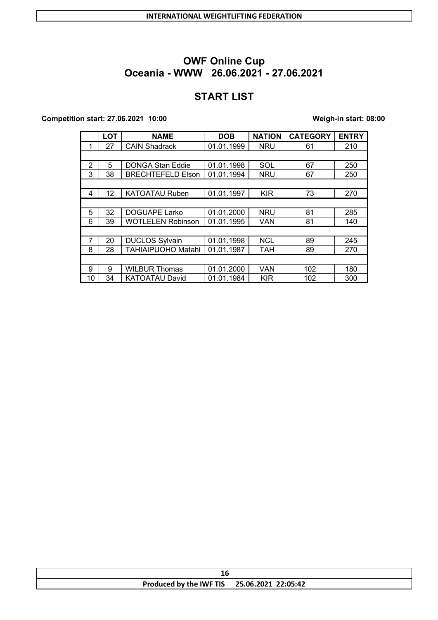# **START LIST**

#### **Competition start: 27.06.2021 10:00 Weigh-in start: 08:00**

|    | <b>LOT</b>      | <b>NAME</b>               | <b>DOB</b> | <b>NATION</b> | <b>CATEGORY</b> | <b>ENTRY</b> |
|----|-----------------|---------------------------|------------|---------------|-----------------|--------------|
| 1  | 27              | <b>CAIN Shadrack</b>      | 01.01.1999 | <b>NRU</b>    | 61              | 210          |
|    |                 |                           |            |               |                 |              |
| 2  | 5               | <b>DONGA Stan Eddie</b>   | 01.01.1998 | SOL           | 67              | 250          |
| 3  | 38              | <b>BRECHTEFELD Elson</b>  | 01.01.1994 | <b>NRU</b>    | 67              | 250          |
|    |                 |                           |            |               |                 |              |
| 4  | 12 <sup>2</sup> | <b>KATOATAU Ruben</b>     | 01.01.1997 | <b>KIR</b>    | 73              | 270          |
|    |                 |                           |            |               |                 |              |
| 5  | 32              | <b>DOGUAPE Larko</b>      | 01.01.2000 | <b>NRU</b>    | 81              | 285          |
| 6  | 39              | <b>WOTLELEN Robinson</b>  | 01.01.1995 | VAN           | 81              | 140          |
|    |                 |                           |            |               |                 |              |
| 7  | 20              | <b>DUCLOS Sylvain</b>     | 01.01.1998 | <b>NCL</b>    | 89              | 245          |
| 8  | 28              | <b>TAHIAIPUOHO Matahi</b> | 01.01.1987 | <b>TAH</b>    | 89              | 270          |
|    |                 |                           |            |               |                 |              |
| 9  | 9               | <b>WILBUR Thomas</b>      | 01.01.2000 | <b>VAN</b>    | 102             | 180          |
| 10 | 34              | <b>KATOATAU David</b>     | 01.01.1984 | KIR           | 102             | 300          |

| Ιb |                                             |  |  |  |
|----|---------------------------------------------|--|--|--|
|    | Produced by the IWF TIS 25.06.2021 22:05:42 |  |  |  |